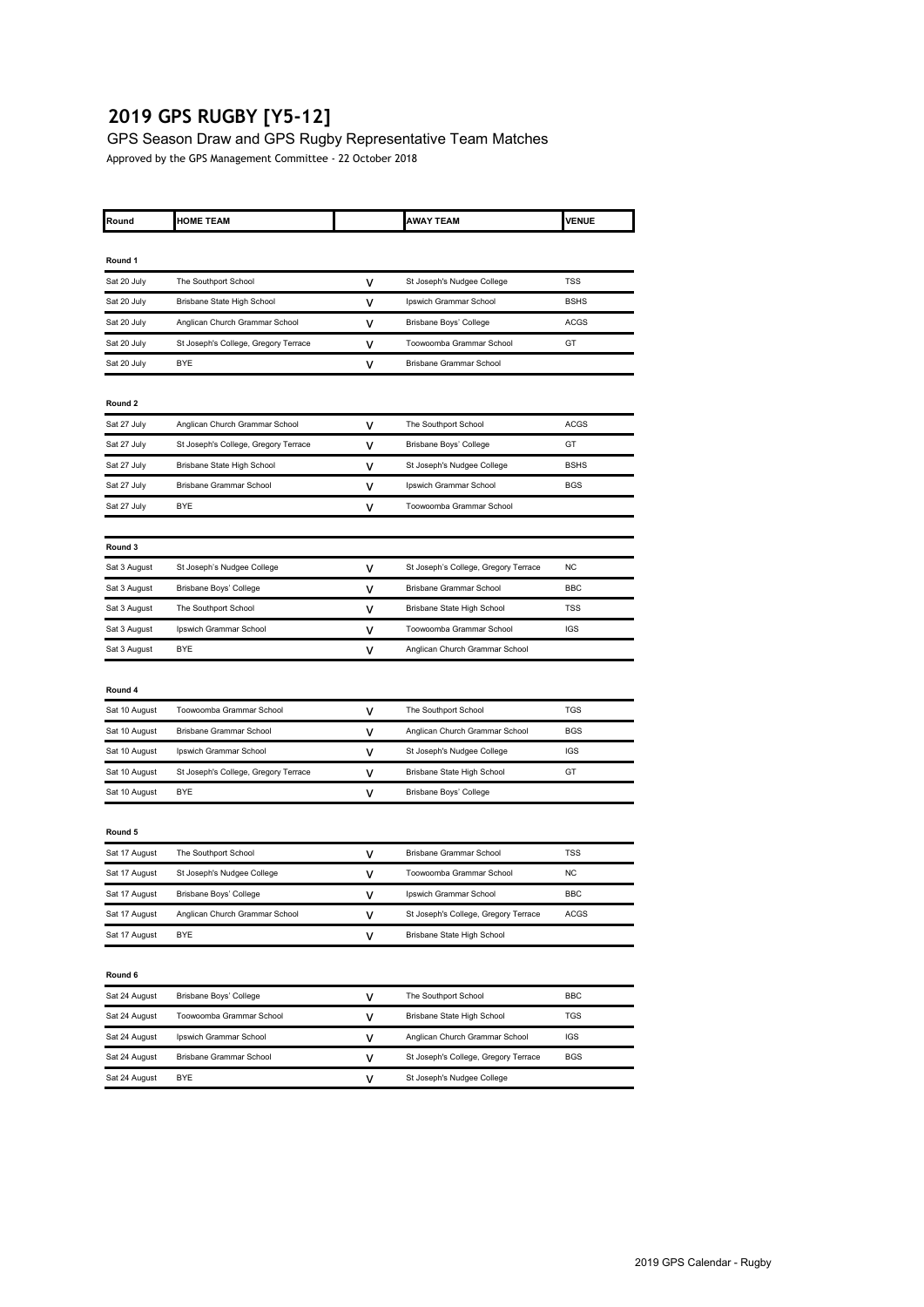# **2019 GPS RUGBY [Y5-12]**

GPS Season Draw and GPS Rugby Representative Team Matches Approved by the GPS Management Committee - 22 October 2018

| Round         | <b>HOME TEAM</b>                     |   | <b>AWAY TEAM</b>                     | <b>VENUE</b> |
|---------------|--------------------------------------|---|--------------------------------------|--------------|
|               |                                      |   |                                      |              |
| Round 1       |                                      |   |                                      |              |
| Sat 20 July   | The Southport School                 | v | St Joseph's Nudgee College           | TSS          |
| Sat 20 July   | Brisbane State High School           | ٧ | Ipswich Grammar School               | <b>BSHS</b>  |
| Sat 20 July   | Anglican Church Grammar School       | ٧ | Brisbane Boys' College               | ACGS         |
| Sat 20 July   | St Joseph's College, Gregory Terrace | v | Toowoomba Grammar School             | GT           |
| Sat 20 July   | <b>BYE</b>                           | ٧ | Brisbane Grammar School              |              |
| Round 2       |                                      |   |                                      |              |
| Sat 27 July   | Anglican Church Grammar School       | v | The Southport School                 | <b>ACGS</b>  |
| Sat 27 July   | St Joseph's College, Gregory Terrace | ٧ | Brisbane Boys' College               | GT           |
| Sat 27 July   | Brisbane State High School           | ٧ | St Joseph's Nudgee College           | <b>BSHS</b>  |
| Sat 27 July   | <b>Brisbane Grammar School</b>       | v | Ipswich Grammar School               | BGS          |
| Sat 27 July   | <b>BYE</b>                           | v | Toowoomba Grammar School             |              |
|               |                                      |   |                                      |              |
| Round 3       |                                      |   |                                      |              |
| Sat 3 August  | St Joseph's Nudgee College           | ٧ | St Joseph's College, Gregory Terrace | NC           |
| Sat 3 August  | Brisbane Boys' College               | v | Brisbane Grammar School              | BBC          |
| Sat 3 August  | The Southport School                 | v | Brisbane State High School           | TSS          |
| Sat 3 August  | Ipswich Grammar School               | v | Toowoomba Grammar School             | <b>IGS</b>   |
| Sat 3 August  | BYE                                  | ٧ | Anglican Church Grammar School       |              |
|               |                                      |   |                                      |              |
| Round 4       |                                      |   |                                      |              |
| Sat 10 August | Toowoomba Grammar School             | ٧ | The Southport School                 | <b>TGS</b>   |
| Sat 10 August | <b>Brisbane Grammar School</b>       | ٧ | Anglican Church Grammar School       | <b>BGS</b>   |
| Sat 10 August | Ipswich Grammar School               | ٧ | St Joseph's Nudgee College           | IGS          |
| Sat 10 August | St Joseph's College, Gregory Terrace | ٧ | Brisbane State High School           | GT           |
| Sat 10 August | <b>BYE</b>                           | v | Brisbane Boys' College               |              |
|               |                                      |   |                                      |              |
| Round 5       |                                      |   |                                      |              |
| Sat 17 August | The Southport School                 | v | Brisbane Grammar School              | <b>TSS</b>   |
| Sat 17 August | St Joseph's Nudgee College           | v | Toowoomba Grammar School             | NC           |
| Sat 17 August | Brisbane Boys' College               | v | Ipswich Grammar School               | <b>BBC</b>   |
| Sat 17 August | Anglican Church Grammar School       | v | St Joseph's College, Gregory Terrace | ACGS         |
| Sat 17 August | <b>BYE</b>                           | v | Brisbane State High School           |              |
|               |                                      |   |                                      |              |
| Round 6       |                                      |   |                                      |              |
| Sat 24 August | Brisbane Boys' College               | ٧ | The Southport School                 | BBC          |
| Sat 24 August | Toowoomba Grammar School             | ٧ | Brisbane State High School           | TGS          |
| Sat 24 August | Ipswich Grammar School               | ٧ | Anglican Church Grammar School       | IGS          |
| Sat 24 August | Brisbane Grammar School              | v | St Joseph's College, Gregory Terrace | <b>BGS</b>   |
| Sat 24 August | <b>BYE</b>                           | ٧ | St Joseph's Nudgee College           |              |